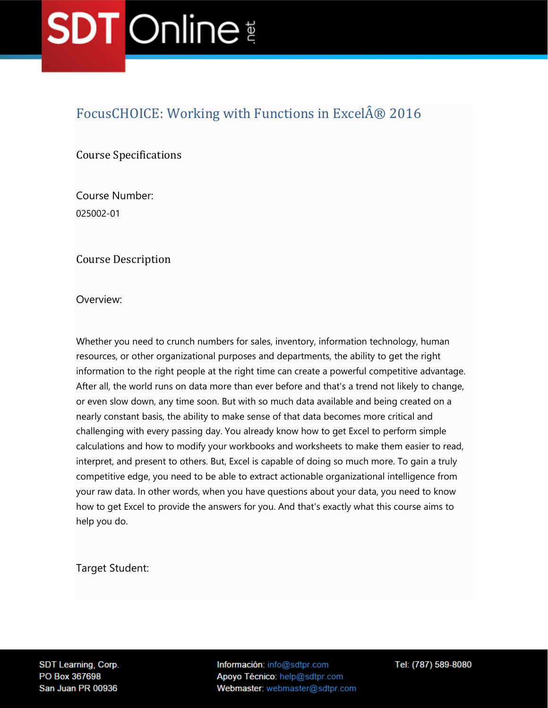### FocusCHOICE: Working with Functions in Excel® 2016

Course Specifications

Course Number: 025002-01

Course Description

Overview:

Whether you need to crunch numbers for sales, inventory, information technology, human resources, or other organizational purposes and departments, the ability to get the right information to the right people at the right time can create a powerful competitive advantage. After all, the world runs on data more than ever before and that's a trend not likely to change, or even slow down, any time soon. But with so much data available and being created on a nearly constant basis, the ability to make sense of that data becomes more critical and challenging with every passing day. You already know how to get Excel to perform simple calculations and how to modify your workbooks and worksheets to make them easier to read, interpret, and present to others. But, Excel is capable of doing so much more. To gain a truly competitive edge, you need to be able to extract actionable organizational intelligence from your raw data. In other words, when you have questions about your data, you need to know how to get Excel to provide the answers for you. And that's exactly what this course aims to help you do.

Target Student:

SDT Learning, Corp. PO Box 367698 San Juan PR 00936

Información: info@sdtpr.com Apoyo Técnico: help@sdtpr.com Webmaster: webmaster@sdtpr.com Tel: (787) 589-8080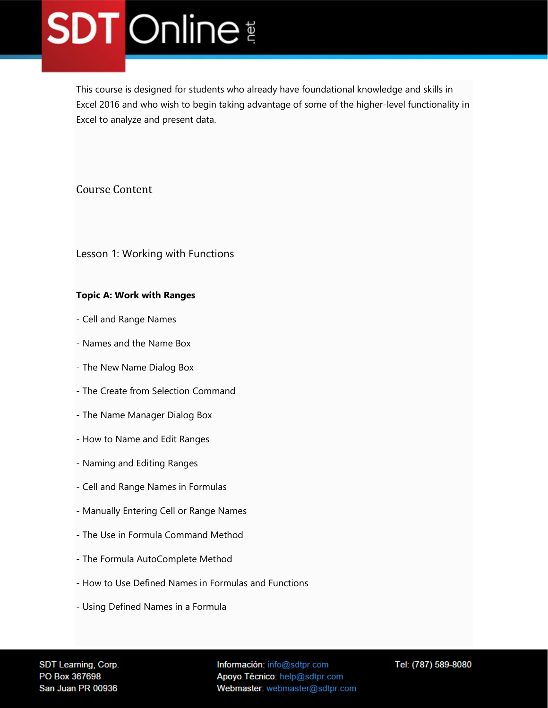This course is designed for students who already have foundational knowledge and skills in Excel 2016 and who wish to begin taking advantage of some of the higher-level functionality in Excel to analyze and present data.

#### Course Content

Lesson 1: Working with Functions

#### **Topic A: Work with Ranges**

- Cell and Range Names
- Names and the Name Box
- The New Name Dialog Box
- The Create from Selection Command
- The Name Manager Dialog Box
- How to Name and Edit Ranges
- Naming and Editing Ranges
- Cell and Range Names in Formulas
- Manually Entering Cell or Range Names
- The Use in Formula Command Method
- The Formula AutoComplete Method
- How to Use Defined Names in Formulas and Functions
- Using Defined Names in a Formula

SDT Learning, Corp. PO Box 367698 San Juan PR 00936

Información: info@sdtpr.com Apoyo Técnico: help@sdtpr.com Webmaster: webmaster@sdtpr.com Tel: (787) 589-8080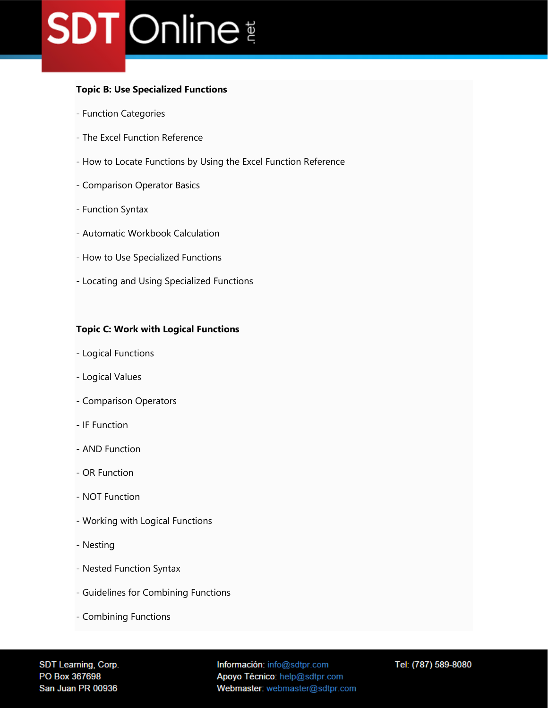#### **Topic B: Use Specialized Functions**

- Function Categories
- The Excel Function Reference
- How to Locate Functions by Using the Excel Function Reference
- Comparison Operator Basics
- Function Syntax
- Automatic Workbook Calculation
- How to Use Specialized Functions
- Locating and Using Specialized Functions

#### **Topic C: Work with Logical Functions**

- Logical Functions
- Logical Values
- Comparison Operators
- IF Function
- AND Function
- OR Function
- NOT Function
- Working with Logical Functions
- Nesting
- Nested Function Syntax
- Guidelines for Combining Functions
- Combining Functions

SDT Learning, Corp. PO Box 367698 San Juan PR 00936

Información: info@sdtpr.com Apoyo Técnico: help@sdtpr.com Webmaster: webmaster@sdtpr.com Tel: (787) 589-8080